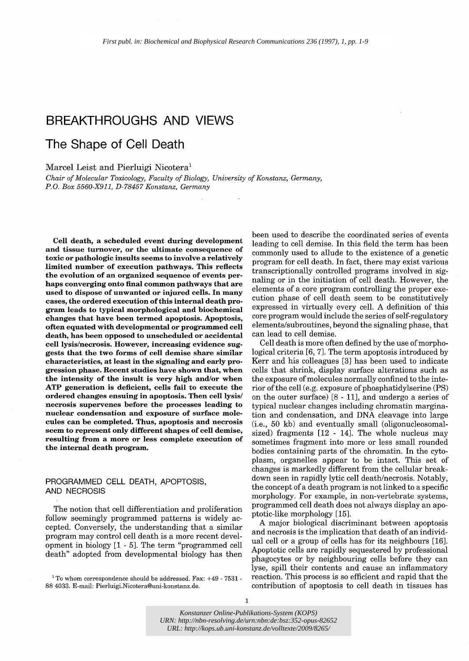# **BREAKTHROUGHS AND VIEWS**

## **The Shape of Cell Death**

Marcel Leist and Pierluigi Nicotera<sup>1</sup>

*Chair of Molecular Toxicology, Faculty of Biology, University of Konstanz, Germany, P.G. Box 5560-X911, D-78457 Konstanz, Germany* 

Cell death, a scheduled event during development and tissue turnover, or the ultimate consequence of toxic or pathologic insults seems to involve a relatively limited number of execution pathways. This reflects the evolution of an organized sequence of events perhaps converging onto final common pathways that are used to dispose of unwanted or injured cells. In many cases, the ordered execution of this internal death program leads to typical morphological and biochemical changes that have been termed apoptosis. Apoptosis, often equated with developmental or programmed cell death, has been opposed to unscheduled or accidental cell lysis/necrosis. However, increasing evidence suggests that the two forms of cell demise share similar characteristics, at least in the signaling and early progression phase. Recent studies have shown that, when the intensity of the insult is very high and/or when ATP generation is deficient, cells fail to execute the ordered changes ensuing in apoptosis. Then cell lysis/ necrosis supervenes before the processes leading to nuclear condensation and exposure of surface molecules can be completed. Thus, apoptosis and necrosis seem to represent only different shapes of cell demise, resulting from a more or less complete execution of the internal death program.

#### PROGRAMMED CELL DEATH, APOPTOSIS, AND NECROSIS

The notion that cell differentiation and proliferation follow seemingly programmed patterns is widely accepted. Conversely, the understanding that a similar program may control cell death is a more recent development in biology [1 - 5]. The term "programmed cell death" adopted from developmental biology has then

 $^{\rm 1}$  To whom correspondence should be addressed. Fax: +49 - 7531 -88 4033. E-mail: Pierluigi.Nicotera@uni-konstanz.de.

been used to describe the coordinated series of events leading to cell demise. In this field the term has been commonly used to allude to the existence of a genetic program for cell death. In fact, there may exist various transcriptionally controlled programs involved in signaling or in the initiation of cell death. However, the elements of a core program controlling the proper execution phase of cell death seem to be constitutively expressed in virtually every cell. A definition of this core program would include the series of self-regulatory elements/subroutines, beyond the signaling phase, that can lead to cell demise.

Cell death is more often defined by the use of morphological criteria [6, 7]. The term apoptosis introduced by Kerr and his colleagues [3] has been used to indicate cells that shrink, display surface alterations such as the exposure of molecules normally confined to the interior of the cell (e.g. exposure of phosphatidylserine (PS) on the outer surface) [8 - 11], and undergo a series of typical nuclear changes including chromatin margination and condensation, and DNA cleavage into large (i.e., 50 kb) and eventually small (oligonucleosomalsized) fragments [12 - 14]. The whole nucleus may sometimes fragment into more or less small rounded bodies containing parts of the chromatin. In the cytoplasm, organelles appear to be intact. This set of changes is markedly different from the cellular breakdown seen in rapidly lytic cell death/necrosis. Notably, the concept of a death program is not linked to a specific morphology. For example, in non-vertebrate systems, programmed cell death does not always display an apoptotic-like morphology [15].

A major biological discriminant between apoptosis and necrosis is the implication that death of an individual cell or a group of cells has for its neighbours [16]. Apoptotic cells are rapidly sequestered by professional phagocytes or by neighbouring cells before they can lyse, spill their contents and cause an inflammatory reaction. This process is so efficient and rapid that the contribution of apoptosis to cell death in tissues has

*Konstanzer Online-Publikations-System (KOPS) URN:<http://nbn-resolving.de/urn:nbn:de:bsz:352-opus-82652> URL:<http://kops.ub.uni-konstanz.de/volltexte/2009/8265/>*

1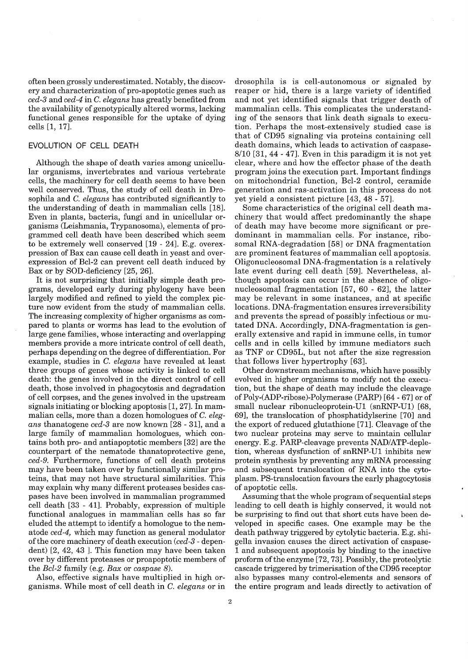often been grossly underestimated. Notably, the discovery and characterization of pro-apoptotic genes such as *ced-3* and *ced-4* in C. *elegans* has greatly benefited from the availability of genotypically altered worms, lacking functional genes responsible for the uptake of dying cells [1, 17].

#### EVOLUTION OF CELL DEATH

Although the shape of death varies among unicellular organisms, invertebrates and various vertebrate cells, the machinery for cell death seems to have been well conserved. Thus, the study of cell death in Drosophila and C. *elegans* has contributed significantly to the understanding of death in mammalian cells [18]. Even in plants, bacteria, fungi and in unicellular organisms (Leishmania, Trypanosoma), elements of programmed cell death have been described which seem to be extremely well conserved [19 - 24]. E.g. overexpression of Bax can cause cell death in yeast and overexpression of Bcl-2 can prevent cell death induced by Bax or by SOD-deficiency [25, 26].

It is not surprising that initially simple death programs, developed early during phylogeny have been largely modified and refined to yield the complex picture now evident from the study of mammalian cells. The increasing complexity of higher organisms as compared to plants or worms has lead to the evolution of large gene families, whose interacting and overlapping members provide a more intricate control of cell death, perhaps depending on the degree of differentiation. For example, studies in C. *elegans* have revealed at least three groups of genes whose activity is linked to cell death: the genes involved in the direct control of cell death, those involved in phagocytosis and degradation of cell corpses, and the genes involved in the upstream signals initiating or blocking apoptosis [1, 27]. In mammalian cells, more than a dozen homologues of C. *elegans* thanatogene *ced-3* are now known [28 - 31], and a large family of mammalian homologues, which contains both pro- and antiapoptotic members [32] are the counterpart of the nematode thanatoprotective gene, *ced-9.* Furthermore, functions of cell death proteins may have been taken over by functionally similar proteins, that may not have structural similarities. This may explain why many different proteases besides caspases have been involved in mammalian programmed cell death [33 - 41]. Probably, expression of multiple functional analogues in mammalian cells has so far eluded the attempt to identify a homologue to the nematode *ced-4,* which may function as general modulator of the core machinery of death execution *(ced-3* - dependent) [2, 42, 43 ]. This function may have been taken over by different proteases or proapoptotic members of the *Bcl-2* family (e.g. *Bax* or *caspase 8).* 

Also, effective signals have multiplied in high organisms. While most of cell death in C. *elegans* or in

drosophila is is cell-autonomous or signaled by reaper or hid, there is a large variety of identified and not yet identified signals that trigger death of mammalian cells. This complicates the understanding of the sensors that link death signals to execution. Perhaps the most-extensively studied case is that of CD95 signaling via proteins containing cell death domains, which leads to activation of caspase-*8/10* [31, 44 - 47]. Even in this paradigm it is not yet clear, where and how the effector phase of the death program joins the execution part. Important findings on mitochondrial function, Bcl-2 control, ceramide generation and ras-activation in this process do not yet yield a consistent picture [43, 48 - 57].

Some characteristics of the original cell death machinery that would affect predominantly the shape of death may have become more significant or predominant in mammalian cells. For instance, ribosomal RNA-degradation [58] or DNA fragmentation are prominent features of mammalian cell apoptosis. Oligonucleosomal DNA-fragmentation is a relatively late event during cell death [59]. Nevertheless, although apoptosis can occur in the absence of oligonucleosomal fragmentation [57, 60 - 62], the latter may be relevant in some instances, and at specific locations. DNA-fragmentation ensures irreversibility and prevents the spread of possibly infectious or mutated DNA. Accordingly, DNA-fragmentation is generally extensive and rapid in immune cells, in tumor cells and in cells killed by immune mediators such as TNF or CD95L, but not after the size regression that follows liver hypertrophy [63].

Other downstream mechanisms, which have possibly evolved in higher organisms to modify not the execution, but the shape of death may include the cleavage of Poly-(ADP-ribose)-Polymerase (PARP) [64 - 67] or of small nuclear ribonucleoprotein-U1 (snRNP-U1) [68, 69], the translocation of phosphatidylserine [70] and the export of reduced glutathione [71]. Cleavage of the two nuclear proteins may serve to maintain cellular energy. E.g. PARP-cleavage prevents NAD/ATP-depletion, whereas dysfunction of snRNP-V1 inhibits new protein synthesis by preventing any mRNA processing and subsequent translocation of RNA into the cytoplasm. PS-translocation favours the early phagocytosis of apoptotic cells.

Assuming that the whole program of sequential steps leading to cell death is highly conserved, it would not be surprising to find out that short cuts have been developed in specific cases. One example may be the death pathway triggered by cytolytic bacteria. E.g. shigella invasion causes the direct activation of caspase-1 and subsequent apoptosis by binding to the inactive proform of the enzyme [72, 73]. Possibly, the proteolytic cascade triggered by trimerisation of the CD95 receptor also bypasses many control-elements and sensors of the entire program and leads directly to activation of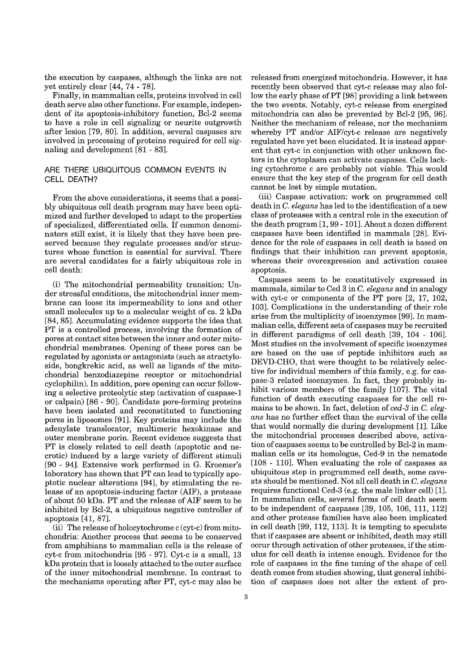the execution by caspases, although the links are not yet entirely clear [44, 74 - 78].

Finally, in mammalian cells, proteins involved in cell death serve also other functions. For example, independent of its apoptosis-inhibitory function, Bcl-2 seems to have a role in cell signaling or neurite outgrowth after lesion [79, 80]. In addition, several caspases are involved in processing of proteins required for cell signaling and development [81 - 83].

#### ARE THERE UBIQUITOUS COMMON EVENTS IN CELL DEATH?

From the above considerations, it seems that a possibly ubiquitous cell death program may have been optimized and further developed to adapt to the properties of specialized, differentiated cells. If common denominators still exist, it is likely that they have been preserved because they regulate processes and/or structures whose function is essential for survivaL There are several candidates for a fairly ubiquitous role in cell death:

(i) The mitochondrial permeability transition: Under stressful conditions, the mitochondrial inner membrane can loose its impermeability to ions and other small molecules up to a molecular weight of ca. 2 kDa [84, 85]. Accumulating evidence supports the idea that PT is a controlled process, involving the formation of pores at contact sites between the inner and outer mitochondrial membranes. Opening of these pores can be regulated by agonists or antagonists (such as atractyloside, bongkrekic acid, as well as ligands of the mitochondrial benzodiazepine receptor or mitochondrial cyclophilin). In addition, pore opening can occur following a selective proteolytic step (activation of caspase-1 or calpain) [86 - 90]. Candidate pore-forming proteins have been isolated and reconstituted to functioning pores in liposomes [91]. Key proteins may include the adenylate translocator, multimeric hexokinase and outer membrane porin. Recent evidence suggests that PT is closely related to cell death (apoptotic and necrotic) induced by a large variety of different stimuli [90 - 94]. Extensive work performed in G. Kroemer's laboratory has shown that PT can lead to typically apoptotic nuclear alterations [94], by stimulating the release of an apoptosis-inducing factor (AlF), a protease of about 50 kDa. PT and the release of AIF seem to be inhibited by Bcl-2, a ubiquitous negative controller of apoptosis [41, 87].

(ii) The release of holocytochrome  $c$  (cyt-c) from mitochondria: Another process that seems to be conserved from amphibians to mammalian cells is the release of cyt-c from mitochondria [95 - 97]. Cyt-c is a small, 13 kDa protein that is loosely attached to the outer surface of the inner mitochondrial membrane. In contrast to the mechanisms operating after PT, cyt-c may also be released from energized mitochondria. However, it has recently been observed that cyt-c release may also follow the early phase of PT [98] providing a link between the two events. Notably, cyt-c release from energized mitochondria can also be prevented by Bcl-2 [95, 96]. Neither the mechanism of release, nor the mechanism whereby PT and/or *AlF/cyt-c* release are negatively regulated have yet been elucidated. It is instead apparent that cyt-c in conjunction with other unknown factors in the cytoplasm can activate caspases. Cells lacking cytochrome c are probably not viable. This would ensure that the key step of the program for cell death cannot be lost by simple mutation.

(iii) Caspase activation: work on programmed cell death in C. *elegans* has led to the identification of a new class of proteases with a central role in the execution of the death program [1, 99 - 101]. About a dozen different caspases have been identified in mammals [28]. Evidence for the role of caspases in cell death is based on findings that their inhibition can prevent apoptosis, whereas their overexpression and activation causes apoptosis.

Caspases seem to be constitutively expressed in mammals, similar to Ced 3 in C. *elegans* and in analogy with cyt-c or components of the PT pore [2, 17, 102, 103]. Complications in the understanding of their role arise from the multiplicity of isoenzymes [99]. In mammalian cells, different sets of caspases may be recruited in different paradigms of cell death [39, 104 - 106]. Most studies on the involvement of specific isoenzymes are based on the use of peptide inhibitors such as DEVD-CHO, that were thought to be relatively selective for individual members of this family, e.g. for caspase-3 related isoenzymes. In fact, they probably inhibit various members of the family [107]. The vital function of death executing caspases for the cell remains to be shown. In fact, deletion of *ced-3* in C. *elegans* has no further effect than the survival of the cells that would normally die during development [1]. Like the mitochondrial processes described above, activation of caspases seems to be controlled by Bcl-2 in mammalian cells or its homologue, Ced-9 in the nematode [108 - 110]. When evaluating the role of caspases as ubiquitous step in programmed cell death, some caveats should be mentioned. Not all cell death in C. *elegans*  requires functional Ced-3 (e.g. the male linker cell) [1]. In mammalian cells, several forms of cell death seem to be independent of caspases [39, 105, 106, 111, 112] and other protease families have also been implicated in cell death [99, 112, 113]. It is tempting to speculate that if caspases are absent or inhibited, death may still occur through activation of other proteases, if the stimulus for cell death is intense enough. Evidence for the role of caspases in the fine tuning of the shape of cell death comes from studies showing, that general inhibition of caspases does not alter the extent of pro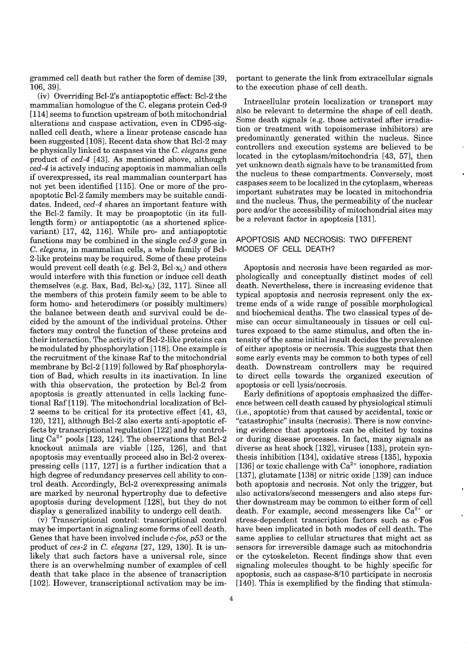grammed cell death but rather the form of demise [39, 106,39].

(iv) Overriding Bcl-2's antiapoptotic effect: Bcl-2 the mammalian homologue of the C. elegans protein Ced-9 [114] seems to function upstream of both mitochondrial alterations and caspase activation, even in CD95-signaIled cell death, where a linear protease cascade has been suggested [108]. Recent data show that Bcl-2 may be physically linked to caspases via the C. *elegans* gene product of *ced-4* [43]. As mentioned above, although *ced-4* is actively inducing apoptosis in mammalian cells if overexpressed, its real mammalian counterpart has not yet been identified [115]. One or more of the proapoptotic Bcl-2 family members may be suitable candidates. Indeed, *ced-4* shares an important feature with the Bcl-2 family. It may be proapoptotic (in its fulllength form) or antiapoptotic (as a shortened splicevariant) [17, 42, 116]. While pro- and antiapoptotic functions may be combined in the single *ced-9* gene in C. *elegans,* in mammalian cells, a whole family of Bcl-2-like proteins may be required. Some of these proteins would prevent cell death (e.g. Bcl-2, Bcl- $x<sub>L</sub>$ ) and others would interfere with this function or induce cell death themselves (e.g. Bax, Bad, Bcl- $x_s$ ) [32, 117]. Since all the members of this protein family seem to be able to form homo- and heterodimers (or possibly multimers) the balance between death and survival could be decided by the amount of the individual proteins. Other factors may control the function of these proteins and their interaction. The activity of Bcl-2-like proteins can be modulated by phosphorylation [118]. One example is the recruitment of the kinase Raf to the mitochondrial membrane by Bcl-2 [119] followed by Raf phosphorylation of Bad, which results in its inactivation. In line with this observation, the protection by Bcl-2 from apoptosis is greatly attenuated in cells lacking functional Raf [119]. The mitochondrial localization of Bcl-2 seems to be critical for its protective effect [41, 43, 120, 121], although Bcl-2 also exerts anti-apoptotic effects by transcriptional regulation [122] and by controlling  $Ca^{2+}$  pools [123, 124]. The observations that Bcl-2 knockout animals are viable [125, 126], and that apoptosis may eventually proceed also in Bcl-2 overexpressing cells [117, 127] is a further indication that a high degree of redundancy preserves cell ability to control death. Accordingly, Bcl-2 overexpressing animals are marked by neuronal hypertrophy due to defective apoptosis during development [128], but they do not display a generalized inability to undergo cell death.

(v) Transcriptional control: transcriptional control may be important in signaling some forms of cell death. Genes that have been involved include *c-fos, p53* or the product of *ces-2* in C. *elegans* [27, 129, 130]. It is unlikely that such factors have a universal role, since there is an overwhelming number of examples of cell death that take place in the absence of transcription [102]. However, transcriptional activation may be important to generate the link from extracellular signals to the execution phase of cell death.

Intracellular protein localization or transport may also be relevant to determine the shape of cell death. Some death signals (e.g. those activated after irradiation or treatment with topoisomerase inhibitors) are predominantly generated within the nucleus. Since controllers and execution systems are believed to be located in the cytoplasm/mitochondria [43, 57], then yet unknown death signals have to be transmitted from the nucleus to these compartments. Conversely, most caspases seem to be localized in the cytoplasm, whereas important substrates may be located in mitochondria and the nucleus. Thus, the permeability of the nuclear pore and/or the accessibility of mitochondrial sites may be a relevant factor in apoptosis [131].

#### APOPTOSIS AND NECROSIS: TWO DIFFERENT MODES OF CELL DEATH?

Apoptosis and necrosis have been regarded as morphologically and conceptually distinct modes of cell death. Nevertheless, there is increasing evidence that typical apoptosis and necrosis represent only the extreme ends of a wide range of possible morphological and biochemical deaths. The two classical types of demise can occur simultaneously in tissues or cell cultures exposed to the same stimulus, and often the intensity of the same initial insult decides the prevalence of either apoptosis or necrosis. This suggests that then some early events may be common to both types of cell death. Downstream controllers may be required to direct cells towards the organized execution of apoptosis or cell lysis/necrosis.

Early definitions of apoptosis emphasized the difference between cell death caused by physiological stimuli (i.e., apoptotic) from that caused by accidental, toxic or "catastrophic" insults (necrosis). There is now convincing evidence that apoptosis can be elicited by toxins or during disease processes. In fact, many signals as diverse as heat shock [132], viruses [133], protein synthesis inhibition [134], oxidative stress [135], hypoxia [136] or toxic challenge with  $Ca^{2+}$  ionophore, radiation [137], glutamate [138] or nitric oxide [139] can induce both apoptosis and necrosis. Not only the trigger, but also activators/second messengers and also steps further downstream may be common to either form of cell death. For example, second messengers like  $Ca^{2+}$  or stress-dependent transcription factors such as c-Fos have been implicated in both modes of cell death. The same applies to cellular structures that might act as sensors for irreversible damage such as mitochondria or the cytoskeleton. Recent findings show that even signaling molecules thought to be highly specific for apoptosis, such as caspase-8/10 participate in necrosis [140]. This is exemplified by the finding that stimula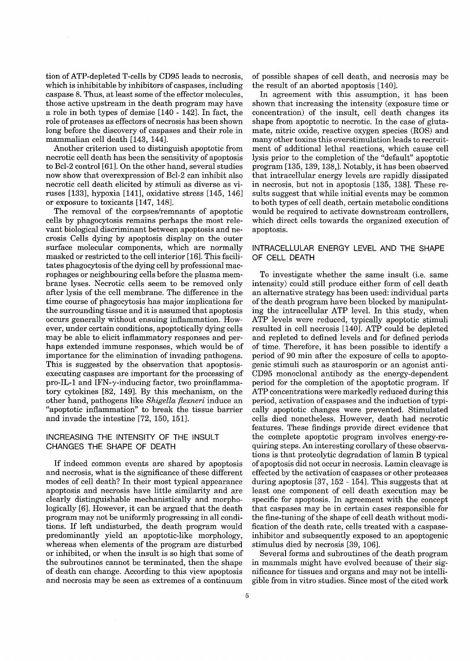tion of ATP-depleted T-cells by CD95 leads to necrosis, which is inhibitable by inhibitors of caspases, including caspase 8. Thus, at least some of the effector molecules, those active upstream in the death program may have a role in both types of demise [140 - 142]. In fact, the role of proteases as effectors of necrosis has been shown long before the discovery of caspases and their role in mammalian cell death [143, 144].

Another criterion used to distinguish apoptotic from necrotic cell death has been the sensitivity of apoptosis to Bcl-2 control [61]. On the other hand, several studies now show that overexpression of Bcl-2 can inhibit also necrotic cell death elicited by stimuli as diverse as viruses [133], hypoxia [141], oxidative stress [145, 146] or exposure to toxicants [147, 148].

The removal of the corpses/remnants of apoptotic cells by phagocytosis remains perhaps the most relevant biological discriminant between apoptosis and necrosis Cells dying by apoptosis display on the outer surface molecular components, which are normally masked or restricted to the cell interior [16]. This facilitates phagocytosis of the dying cell by professional macrophages or neighbouring cells before the plasma membrane lyses. Necrotic cells seem to be removed only after lysis of the cell membrane. The difference in the time course of phagocytosis has major implications for the surrounding tissue and it is assumed that apoptosis occurs generally without ensuing inflammation. However, under certain conditions, apoptotically dying cells may be able to elicit inflammatory responses and perhaps extended immune responses, which would be of importance for the elimination of invading pathogens. This is suggested by the observation that apoptosisexecuting caspases are important for the processing of pro-IL-1 and IFN- $\gamma$ -inducing factor, two proinflammatory cytokines [82, 149]. By this mechanism, on the other hand, pathogens like *Shigella flexneri* induce an "apoptotic inflammation" to break the tissue barrier and invade the intestine [72, 150, 151].

### INCREASING THE INTENSITY OF THE INSULT CHANGES THE SHAPE OF DEATH

If indeed common events are shared by apoptosis and necrosis, what is the significance of these different modes of cell death? In their most typical appearance apoptosis and necrosis have little similarity and are clearly distinguishable mechanistically and morphologically [6]. However, it can be argued that the death program may not be uniformly progressing in all conditions. If left undisturbed, the death program would predominantly yield an apoptotic-like morphology, whereas when elements of the program are disturbed or inhibited, or when the insult is so high that some of the subroutines cannot be terminated, then the shape of death can change. According to this view apoptosis and necrosis may be seen as extremes of a continuum

of possible shapes of cell death, and necrosis may be the result of an aborted apoptosis [140].

In agreement with this assumption, it has been shown that increasing the intensity (exposure time or concentration) of the insult, cell death changes its shape from apoptotic to necrotic. In the case of glutamate, nitric oxide, reactive oxygen species (ROS) and many other toxins this overstimulation leads to recruitment of additional lethal reactions, which cause cell lysis prior to the completion of the "default" apoptotic program [135, 139, 138,]. Notably, it has been observed that intracellular energy levels are rapidly dissipated in necrosis, but not in apoptosis [135, 138]. These results suggest that while initial events may be common to both types of cell death, certain metabolic conditions would be required to activate downstream controllers, which direct cells towards the organized execution of apoptosis.

#### INTRACELLULAR ENERGY LEVEL AND THE SHAPE OF CELL DEATH

To investigate whether the same insult (i.e. same intensity) could still produce either form of cell death an alternative strategy has been used: individual parts of the death program have been blocked by manipulating the intracellular ATP leveL In this study, when ATP levels were reduced, typically apoptotic stimuli resulted in cell necrosis [140]. ATP could be depleted and repleted to defined levels and for defined periods of time. Therefore, it has been possible to identify a period of 90 min after the exposure of cells to apoptogenic stimuli such as staurosporin or an agonist anti-CD95 monoclonal antibody as the energy-dependent period for the completion of the apoptotic program. If ATP concentrations were markedly reduced during this period, activation of caspases and the induction of typically apoptotic changes were prevented. Stimulated cells died nonetheless. However, death had necrotic features. These findings provide direct evidence that the complete apoptotic program involves energy-requiring steps. An interesting corollary of these observations is that proteolytic degradation of lamin B typical of apoptosis did not occur in necrosis. Lamin cleavage is effected by the activation of caspases or other proteases during apoptosis [37, 152 - 154]. This suggests that at least one component of cell death execution may be specific for apoptosis. In agreement with the concept that caspases may be in certain cases responsible for the fine-tuning of the shape of cell death without modification of the death rate, cells treated with a caspaseinhibitor and subsequently exposed to an apoptogenic stimulus died by necrosis [39, 106].

Several forms and subroutines of the death program in mammals might have evolved because of their significance for tissues and organs and may not be intelligible from in vitro studies. Since most of the cited work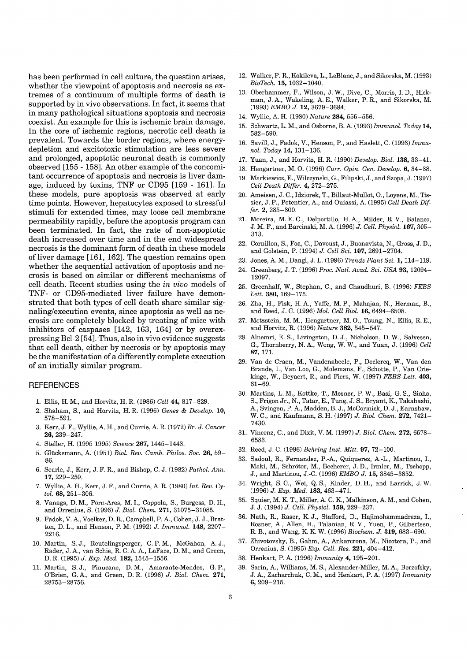has been performed in cell culture, the question arises, whether the viewpoint of apoptosis and necrosis as extremes of a continuum of multiple forms of death is supported by in vivo observations. In fact, it seems that in many pathological situations apoptosis and necrosis coexist. An example for this is ischemic brain damage. In the core of ischemic regions, necrotic cell death is prevalent. Towards the border regions, where energydepletion and excitotoxic stimulation are less severe and prolonged, apoptotic neuronal death is commonly observed [155 - 158]. An other example of the concomitant occurrence of apoptosis and necrosis is liver damage, induced by toxins, TNF or CD95 [159 - 161]. In these models, pure apoptosis was observed at early time points. However, hepatocytes exposed to stressful stimuli for extended times, may loose cell membrane permeability rapidly, before the apoptosis program can been terminated. In fact, the rate of non-apoptotic death increased over time and in the end widespread necrosis is the dominant form of death in these models of liver damage [161, 162]. The question remains open whether the sequential activation of apoptosis and necrosis is based on similar or different mechanisms of cell death. Recent studies using the *in vivo* models of TNF- or CD95-mediated liver failure have demonstrated that both types of cell death share similar signaling/execution events, since apoptosis as well as necrosis are completely blocked by treating of mice with inhibitors of caspases [142, 163, 164] or by overexpressing Bcl-2 [54]. Thus, also in vivo evidence suggests that cell death, either by necrosis or by apoptosis may be the manifestation of a differently complete execution of an initially similar program.

#### **REFERENCES**

- 1. Ellis, H. M., and Horvitz, H. R (1986) *Cell* 44, 817 -829.
- 2. Shaham, S., and Horvitz, H. R (1996) *Genes* & *Develop. 10,*  578-591.
- 3. Kerr, J. F., Wyllie, A. H., and Currie, A. R (1972) *Br. J. Cancer*  26,239-247.
- 4. Steller, H. (1995 1995) *Science* 267, 1445-1448.
- 5. Gliicksmann, A. (1951) *Biol. Rev. Camb. Philos. Soc.* 26, 59- 86.
- 6. Searle, J., Kerr, J. F. R, and Bishop, C. J. (1982) *Pathol. Ann.*  17, 229-259.
- 7. Wyllie, A. H., Kerr, J. F., and Currie, A. R (1980) *Int. Rev. Cy· tol.* 68,251-306.
- 8. Vanags, D. M., Porn-Ares, M.I., Coppola, S., Burgess, D. H., and Orrenius, S. (1996) *J. Biol. Chem.* 271, 31075-31085.
- 9. Fadok, V. A., Voelker, D. R, Campbell, P. A., Cohen, J. J., Bratton, D. L., and Henson, P. M. (1992) *J. Immunol.* 148, 2207- 2216.
- 10. Martin, S. J., Reutelingsperger, C. P. M., McGahon, A. J., Rader, J. A., van Schie, R. C. A. A., LaFace, D. M., and Green, D. R. (1995) *J. Exp. Med.* 182, 1545-1556.
- 11. Martin, S. J., Finucane, D. M., Amarante-Mendes, G. P., O'Brien, G. A., and Green, D. R (1996) *J. Biol. Chem. 271,*  28753-28756.
- 12. Walker, P. R, Kokileva, L., LeBlanc, J., and Sikorska, M. (1993) *BioTech.* 15, 1032-1040.
- 13. Oberhammer, F., Wilson, J. W., Dive, C., Morris, I. D., Hickman, J. A., Wakeling, A. E., Walker, P. R, and Sikorska, M. *(1993) EMBO J.* 12, 3679-3684.
- 14. Wyllie, A. H. (1980) *Nature* 284, 555-556.
- 15. Schwartz, L. M., and Osborne, B. A. (1993) *Immunol. Today 14,*  582-590.
- 16. Savill, J., Fadok, V., Henson, P., and Haslett, C. (1993) *Immu*nol. Today 14, 131-136.
- 17. Yuan, J., and Horvitz, H. R (1990) *Develop. Biol.* 138,33-41.
- 18. Hengartner, M. O. (1996) *Curr. Opin. Gen. Develop.* 6, 34-38.
- 19. Markiewicz, E., Wilczynski, G., Filipski, J., and Szopa, J. (1997) *Cell Death Differ.* 4, 272-275.
- 20. Ameisen, J. C., Idziorek, T., Billaut-Mullot, 0., Loyens, M., Tissier, J. P., Potentier, A., and Ouiassi, A. (1995) *Cell Death Differ.* 2,285-300.
- 21. Moreira, M. E. C., Delportillo, H. A., Milder, R. V., Balanco, J. M. F., and Barcinski, M. A. (1996) *J. Cell. Physiol.* 167,305- 313.
- 22. Cornillon, S., Foa, C., Davoust, J., Buonavista, N., Gross, J. D., and Golstein, P. (1994) *J. Cell Sci.* 107,2691-2704.
- 23. Jones, A. M., Dangl, J. L. (1996) *Trends Plant Sci.* 1,114-119.
- 24. Greenberg, J. T. (1996) *Froc. Natl. Acad. Sci. USA* 93, 12094- 12097.
- 25. Greenhalf, W., Stephan, C., and Chaudhuri, B. (1996) *FEBS Lett.* 380, 169-175.
- 26. Zha, H., Fisk, H. A., Yaffe, M. P., Mahajan, N., Herman, B., and Reed, J. C. (1996) *Mol. Cell Biol.* 16, 6494-6508.
- 27. Metzstein, M. M., Hengartner, M. 0., Tsung, N., Ellis, RE., and Horvitz, R (1996) *Nature* 382, 545-547.
- 28. Alnemri, E. S., Livingston, D. J., Nicholson, D. W., Salvesen, G., Thornberry, N. A., Wong, W. W., and Yuan, J. (1996) *Cell*  87,171.
- 29. Van de Craen, M., Vandenabeele, P., Declercq, W., Van den Brande, I., Van Loo, G., Molemans, F., Schotte, P., Van Criekinge, W., Beyaert, R, and Fiers, W. (1997) *FEBS Lett. 403,*  61-69.
- 30. Martins, L. M., Kottke, T., Mesner, P. W., Basi, G. S., Sinha, S., Frigon Jr., N., Tatar, E., Tung, J. S., Bryant, K, Takahashi, A., Svingen, P. A., Madden, B. J., McCormick, D. J., Earnshaw, W. C., and Kaufmann, S. H. (1997) *J. Biol. Chem.* 272, 7421- 7430.
- 31. Vincenz, C., and Dixit, V. M. (1997) *J. BioZ. Chem.* 272, 6578- 6583.
- 32. Reed, J. C. (1996) *Behring Inst. Mitt.* 97, 72-100.
- 33. Sadoul, R, Fernandez, P.-A., Quiquerez, A.-L., Martinou, I., Maki, M., Schroter, M., Becherer, J. D., Irmler, M., Tschopp, J., and Martinou, J.-C. (1996) *EMBO J.* 15, 3845-3852.
- 34. Wright, S. C., Wei, Q. S., Kinder, D. H., and Larrick, J. W. *(1996) J. Exp. Med.* 183,463-471.
- 35. Squier, M. K. T., Miller, A. C. K., Malkinson, A. M., and Cohen, J. J. (1994) *J. Cell. Physiol.* 159, 229-237.
- 36. Nath, R, Raser, K J., Stafford, D., Hajimohammadreza, I., Rosner, A., Allen, H., Talanian, R.V., Yuen, P., Gilbertsen, R B., and Wang, K K W. (1996) *Biochem. J.* 319,683-690.
- 37. Zhivotovsky, B., Gahm, A., Ankarcrona, M., Nicotera, P., and Orrenius, S. (1995) *Exp. Cell. Res.* 221, 404-412.
- 38. Henkart, P. A. (1996) *Immunity* 4, 195-201.
- 39. Sarin, A., Williams, M. S., Alexander-Miller, M. A., Berzofsky, J. A., Zacharchuk, C. M., and Henkart, P. A. (1997) *Immunity*  6,209-215.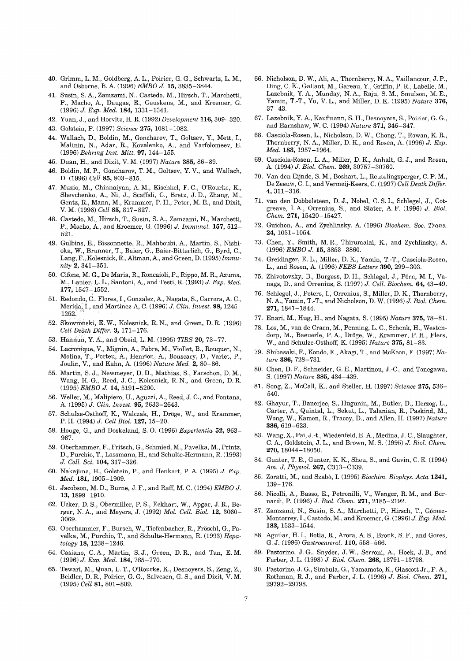- 40. Grimm, L. M., Goldberg, A. L., Poirier, G. G., Schwartz, L. M., and Osborne, B. A. (1996) *EMBO J.* 15, 3835-3844.
- 41. Susin, S. A., Zamzami, N., Castedo, M., Hirsch, T., Marchetti, P., Macho, A., Daugas, E., Geuskens, M., and Kroemer, G. *(1996) J. Exp. Med.* 184, 1331-1341.
- 42. Yuan, J., and Horvitz, H. R. (1992) *Development* 116, 309-320.
- 43. Golstein, P. (1997) *Science* 275, 1081-1082.
- 44. Wallach, D., Boldin, M., Goncharov, T., Goltsev, Y., Mett, 1., Malinin, N., Adar, R., Kovalenko, A., and Varfolomeev, E. *(1996) Behring Inst. Mitt.* 97, 144-155.
- 45. Duan, H., and Dixit, V. M. (1997) *Nature* 385, 86-89.
- 46. Boldin, M. P., Goncharov, T. M., Goltsev, Y. V., and Wallach, D. (1996) *Cell* 85, 803-815.
- 47. Muzio, M., Chinnaiyan, A. M., Kischkel, F. C., O'Rourke, K., Shevchenko, A., Ni, J., Scaffidi, C., Bretz, J. D., Zhang, M., Gentz, R., Mann, M., Krammer, P. H., Peter, M. E., and Dixit, V. M. (1996) *Cell* 85, 817-827.
- 48. Castedo, M., Hirsch, T., Susin, S. A., Zamzami, N., Marchetti, P., Macho, A., and Kroemer, G. (1996) *J. Immunol.* 157, 512- 521.
- 49. Gulbins, E., Bissonnette, R., Mahboubi, A., Martin, S., Nishioka, W., Brunner, T., Baier, G., Baier-Bitterlich, G., Byrd, C., Lang, F., Kolesnick, R., Altman, A., and Green, D. (1995) *Immunity* 2, 341-351.
- 50. Cifone, M. G., De Maria, R., Roncaioli, P., Rippo, M. R., Azuma, M., Lanier, L. L., Santoni, A., and Testi, R. (1993) *J. Exp. Med.*  177,1547-1552.
- 51. Redondo, C., Flores, 1., Gonzalez, A., Nagata, S., Carrera, A. C., Merida; 1., and Martinez-A, C. (1996) *J. Clin. Invest.* 98, 1245- 1252.
- 52. Skowronski, E. W., Kolesnick, R. N., and Green, D. R. (1996) *Cell Death Differ.* 3, 171-176.
- 53. Hamiilri, Y. A., and Obeid, L. M. (1995) *TIBS* 20,73-77.
- 54. Lacronique, V., Mignin, A., Fabre, M., Viollet, B., Rouquet, N., Molina, T., Porteu, A., Henrion, A., Bouscary, D., Varlet, P., Joulin, V., and Kahn, A. (1996) *Nature Med.* 2, 80-86.
- 55. Martin, S. J., Newmeyer, D. D., Mathias, S., Farschon, D. M., Wang, H.-G., Reed, J. C., Kolesnick, R. N., and Green, D. R. *(1995) EMBO J.* 14, 5191-5200.
- 56. Weller, M., Malipiero, U., Aguzzi, A., Reed, J. C., and Fontana, A. (1995) *J. Clin. Invest.* 95, 2633-2643.
- 57. Schulze-Osthoff, K., Walczak, H., Dröge, W., and Krammer, P. H. (1994) *J. Cell Biol.* 127, 15-20.
- 58. Houge, G., and Doskeland, S. O. (1996) *Experientia* 52, 963- 967.
- 59. Oberhammer, F., Fritsch, G., Schmied, M., Pavelka, M., Printz, D., Purchio, T., Lassmann, H., and Schulte-Hermann, R. (1993) *J. Cell. Sci.* 104, 317 -326.
- 60. Nakajima, H., Golstein, P., and Henkart, P. A. (1995) *J. Exp. Med.* 181, 1905-1909.
- 61. Jacobson, M. D., Burne, J. F., and Raff, M. C. (1994) *EMBO J.*  13, 1899-1910.
- 62. Ucker, D. S., Obermiller, P. S., Eckhart, W., Apgar, J. R., Berger, N. A., and Meyers, J. (1992) *Mol. Cell. Biol.* 12, 3060- 3069.
- 63. Oberhammer, F., Bursch, W., Tiefenbacher, R., Froschl, G., Pavelka, M., Purchio, T., and Schulte-Hermann, R. (1993) *Hepatology* 18, 1238-1246.
- 64. Casiano, C. A., Martin, S. J., Green, D. R., and Tan, E. M. *(1996) J. Exp. Med.* 184,765-770.
- 65. Tewari, M., Quan, L. T., O'Rourke, K., Desnoyers, S., Zeng, Z., Beidler, D. R., Poirier, G. G., Salvesen, G. S., and Dixit, V. M. *(1995) Cell* 81, 801-809.
- 66. Nicholson, D. W., Ali, A., Thornberry, N. A., Vaillancour, J. P., Ding, C. K., Gallant, M., Gareau, Y., Griffin, P. R., Labelle, M., Lazebnik, Y. A., Munday, N. A., Raju, S. M., Smulson, M. E., Yamin, T.-T., Yu, V. L., and Miller, D. K. (1995) *Nature 376,*  37-43.
- 67. Lazebnik, Y. A., Kaufmann, S. H., Desnoyers, S., Poirier, G. G., and Earnshaw, W. C. (1994) *Nature* 371, 346-347.
- 68. Casciola-Rosen, L., Nicholson, D. W., Chong, T., Rowan, K. R., Thornberry, N. A., Miller, D. K., and Rosen, A. (1996) *J. Exp. Med.* 183,1957-1964.
- 69. Casciola-Rosen, L. A., Miller, D. K., Anhalt, G. J., and Rosen, A. (1994) *J. Biol. Chem.* 269, 30757 -30760.
- 70. Van den Eijnde, S. M., Boshart, L., Reutelingsperger, C. P. M., De Zeeuw, C. I., and Vermeij-Keers, C. (1997) *Cell Death Differ.*  4,311-316.
- 71. van den Dobbelsteen, D. J., Nobel, C. S. 1., Schlegel, J., Cotgreave, 1. A., Orrenius, S., and Slater, A. F. (1996) *J. Biol. Chem.* 271, 15420-15427.
- 72. Guichon, A., and Zychlinsky, A. (1996) *Biochem. Soc. Trans.*  24, 1051-1054.
- 73. Chen, Y., Smith, M. R., Thirumalai, K., and Zychlinsky, A. *(1996) EMBO J.* 15, 3853-3860.
- 74. Greidinger, E. L., Miller, D. K., Yamin, T.-T., Casciola-Rosen, L., and Rosen, A. (1996) *FEBS Letters* 390, 299-303.
- 75. Zhivotovsky, B., Burgess, D. H., Schlegel, J., Porn, M. 1., Vanags, D., and Orrenius, S. (1997) *J. Cell. Biochem.* 64, 43-49.
- 76. Schlegel, J., Peters, 1., Orrenius, S., Miller, D. K., Thornberry, N. A., Yamin, T.-T., and Nicholson, D. W. (1996) *J. Biol. Chem.*  271,1841-1844.
- 77. Enari, M., Hug, H., and Nagata, S. (1995) *Nature* 375, 78-81.
- 78. Los, M., van de Craen, M., Penning, L. C., Schenk, H., Westendorp, M., Baeuerle, P. A., Dröge, W., Krammer, P. H., Flers, W., and Schulze-Osthoff, K. (1995) *Nature* 375, 81-83.
- 79. Shibasaki, F., Kondo, E., Akagi, T., and McKeon, F. (1997) *Nature* 386, 728-731.
- 80. Chen, D. F., Schneider, G. E., Martinou, J.-C., and Tonegawa, S. (1997) *Nature* 385, 434-439.
- 81. Song, Z., McCall, K., and Steller, H. (1997) *Science* 275, 536- 540.
- 82. Ghayur, T., Banerjee, S., Hugunin, M., Butler, D., Herzog, L., Carter, A., Quintal, L., Sekut, L., Talanian, R., Paskind, M., Wong, W., Kamen, R., Tracey, D., and AlIen, H. (1997) *Nature*  386, 619-623.
- 83. Wang, X., Pai, J.-t., Wiedenfeld, E. A., Medina, J. C., Slaughter, C. A., Goldstein, J. L., and Brown, M. S. (1995) *J. Biol. Chem.*  270, 18044-18050.
- 84. Gunter, T. E., Gunter, K. K., Sheu, S., and Gavin, C. E. (1994) *Am. J. Physiol.* 267, C313-C339.
- 85. Zoratti, M., and Szabò, I. (1995) *Biochim. Biophys. Acta* 1241, 139-176.
- 86. Nicolli, A., Basso, E., Petronilli, V., Wenger, R. M., and Bernardi, P. (1996) *J. Biol. Chem.* 271, 2185-2192.
- 87. Zamzami, N., Susin, S. A., Marchetti, P., Hirsch, T., G6mez-Monterrey, 1., Castedo, M., and Kroemer, G. (1996) *J. Exp. Med.*  183, 1533-1544.
- 88. Aguilar, H. 1., Botla, R., Arora, A. S., Bronk, S. F., and Gores, G. J. (1996) *Gastroenterol.* 110, 558-566.
- 89. Pastorino, J. G., Snyder, J. W., Serroni, A., Hoek, J. B., and Farber, J. L. (1993) *J. Biol. Chem.* 268, 13791-13798.
- 90. Pastorino, J. G., Simbula, G., Yamamoto, K., Glascott Jr., P. A., Rothman, R. J., and Farber, J. L. (1996) *J. Biol. Chem. 271,*  29792-29798.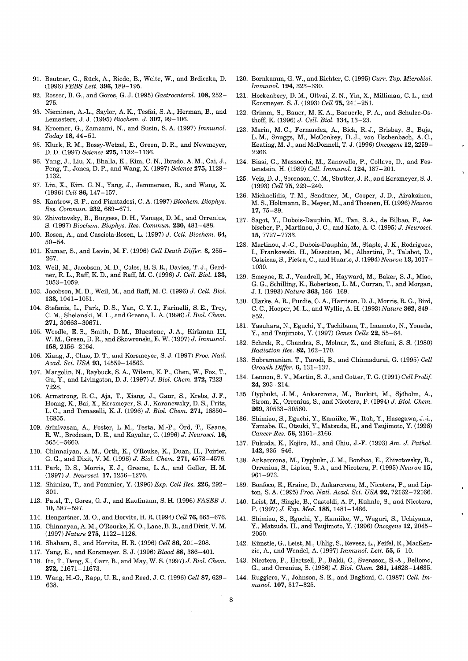- 91. Beutner, G., Ruck, A., Riede, B., Welte, W., and Brdiczka, D. *(1996) FEBS Lett.* 396, 189-195.
- 92. Rosser, B. G., and Gores, G. J. (1995) *Gastroenterol.* 108, 252- 275.
- 93. Nieminen, A.-L., Saylor, A. K, Tesfai, S. A., Herman, B., and Lemasters, J. J. (1995) *Biochem. J.* 307, 99-106.
- 94. Kroemer, G., Zamzami, N., and Susin, S. A. (1997) *Immunol. Today* 18, 44-51.
- 95. Kluck, R. M., Bossy-Wetzel, E., Green, D. R., and Newmeyer, D. D. (1997) *Science* 275,1132-1136.
- 96. Yang, J., Liu, X., Bhalla, K, Kim, C. N., Ibrado, A. M., Cai, J., Peng, T., Jones, D. P., and Wang, X. (1997) *Science* 275, 1129- 1132.
- 97. Liu, X., Kim, C. N., Yang, J., Jemmerson, R., and Wang, X. *(1996) Cell* 86,147-157.
- 98. Kantrow, S. P., and Piantadosi, C. A. (1997) *Biochem. Biophys. Res. Commun.* 232, 669-671.
- 99. Zhivotovsky, B., Burgess, D. H., Vanags, D. M., and Orrenius, S. (1997) *Biochem. Biophys. Res. Commun.* 230,481-488.
- 100. Rosen, A., and Casciola-Rosen, L. (1997) *J. Cell. Biochem. 64,*  50-54.
- 101. Kumar, S., and Lavin, M. F. (1996) *Cell Death Differ.* 3,255- 267.
- 102. Weil, M., Jacobson, M. D., Coles, H. S. R., Davies, T. J., Gardner, R. L., Raff, K D., and Raff, M. C. (1996) *J. Cell. Biol. 133,*  1053-1059.
- 103. Jacobson, M. D., Weil, M., and Raff, M. C. (1996) *J. Cell. Biol.*  133, 1041-1051.
- 104. Stefanis, L., Park, D. S., Yan, C. Y. 1., Farinelli, S. E., Troy, C. M., Shelanski, M. L., and Greene, L. A. (1996) *J. Biol. Chem.*  271, 30663-30671.
- 105. Woodle, E. S., Smith, D. M., Bluestone, J. A., Kirkman Ill, W. M., Green, D. R., and Skowronski, E. W. (1997) *J. Immunol.*  158, 2156-2164.
- 106. Xiang, J., Chao, D. T., and Korsmeyer, S. J. (1997) *Proc. Natl. Acad. Sci. USA* 93, 14559-14563.
- 107. Margolin, N., Raybuck, S. A., Wilson, K P., Chen, W., Fox, T., Gu, Y., and Livingston, D. J. (1997) *J. Biol. Chem.* 272, 7223- 7228.
- 108. Armstrong, R. C., Aja, T., Xiang, J., Gaur, S., Krebs, J. F., Hoang, K, Bai, X., Korsmeyer, S. J., Karanewsky, D. S., Fritz, L. C., and Tomaselli, K J. (1996) *J. Biol. Chem.* 271, 16850- 16855.
- 109. Srinivasan, A., Foster, L. M., Testa, M.-P., Örd, T., Keane, R. W., Bredesen, D. E., and Kayalar, C. (1996) *J. Neurosci. 16,*  5654-5660.
- 110. Chinnaiyan, A. M., Orth, K, O'Rouke, K, Duan, H., Poirier, G. G., and Dixit, V. M. (1996) *J. Biol. Chem.* 271, 4573-4576.
- 111. Park, D. S., Morris, E. J., Greene, L. A., and Geller, H. M. *(1997) J. Neurosci.* 17, 1256-1270.
- 112. Shimizu, T., and Pommier, Y. (1996) *Exp. Cell Res.* 226, 292- 301.
- 113. Patel, T., Gores, G. J., and Kaufmann, S. H. (1996) *FASEB J.*  10,587-597.
- 114. Hengartner, M. 0., and Horvitz, H. R. (1994) *Cell* 76, 665-676.
- 115. Chinnayan, A. M., O'Rourke, K. O., Lane, B. R., and Dixit, V. M. *(1997) Nature* 275, 1122-1126.
- 116. Shaham, S., and Horvitz, H. R. (1996) *Cell* 86, 201-208.
- 117. Yang, E., and Korsmeyer, S. J. (1996) *Blood* 88, 386-401.
- 118. Ito, T., Deng, X., Carr, B., and May, W. S. (1997) *J. Biol. Chem.*  272, 11671-11673.
- 119. Wang, H.-G., Rapp, U. R., and Reed, J. C. (1996) *Cell* 87, 629- 638.
- 120. Bornkamm, G. W., and Richter, C. (1995) *Curr. Top. Microbiol. Immunol.* 194,323-330.
- 121. Hockenbery, D. M., Oltvai, Z. N., Yin, X., Milliman, C. L., and Korsmeyer, S. J. (1993) *Cell* 75, 241-251.
- 122. Grimm, S., Bauer, M. K A., Baeuerle, P. A., and Schulze-Osthoff, K (1996) *J. Cell. Biol.* 134, 13-23.
- 123. Marin, M. C., Fernandez, A., Bick, R. J., Brisbay, S., Buja, L. M., Snuggs, M., McConkey, D. J., von Eschenbach, A. C., Keating, M. J., and McDonnell, T. J. (1996) *Oncogene* 12,2259- 2266.
- 124. Biasi, G., Mazzocchi, M., Zanovello, P., Collavo, D., and Festenstein, H. (1989) *Cell. Immunol.* 124,187-201.
- 125. Veis, D. J., Sorenson, C. M., Shutter, J. R., and Korsmeyer, S. J. *(1993) Cell* 75, 229-240.
- 126. Michaelidis, T. M., Sendtner, M., Cooper, J. D., Airaksinen, M. S., Holtmann, B., Meyer, M., and Thoenen, H. (1996) *Neuron*  17,75-89.
- 127. Sagot, Y., Dubois-Dauphin, M., Tan, S. A., de Bilbao, F., Aebischer, P., Martinou, J. C., and Kato, A. C. (1995) *J. Neurosci.*  15,7727-7733.
- 128. Martinou, J.-C., Dubois-Dauphin, M., Staple, J. K, Rodriguez, 1., Frankowski, H., Missotten, M., Albertini, P., Talabot, D., Catsicas, S., Pietra, C., and Huarte, J. (1994) *Neuron* 13, 1017- 1030.
- 129. Smeyne, R. J., Vendrell, M., Hayward, M., Baker, S. J., Miao, G. G., Schilling, K, Robertson, L. M., Curran, T., and Morgan, J.1. (1993) *Nature* 363, 166-169.
- 130. Clarke, A. R., Purdie, C. A., Harrison, D. J., Morris, R. G., Bird, C. C., Hooper, M. L., and Wyllie, A. H. (1993) *Nature* 362, 849- 852.
- 131. Yasuhara, N., Eguchi, Y., Tachibana, T., Imamoto, N., Yoneda, Y., and Tsujimoto, Y. (1997) *Genes Cells* 22, 55-64.
- 132. Schrek, R., Chandra, S., Molnar, Z., and Stefani, S. S. (1980) *Radiation Res.* 82, 162-170.
- 133. Subramanian, T., Tarodi, B., and Chinnadurai, G. (1995) *Cell Growth Differ.* 6, 131-137.
- 134. Lennon, S. V., Martin, S. J., and Cotter, T. G. (1991) *Cell Prolif*  24, 203-214.
- 135. Dypbukt, J. M., Ankarcrona, M., Burkitt, M., Sjoholm, A., Ström, K., Orrenius, S., and Nicotera, P. (1994) *J. Biol. Chem.* 269, 30533-30560.
- 136. Shimizu, S., Eguchi, Y., Kamiike, W., Itoh, Y., Hasegawa, J.-i., Yamabe, K, Otsuki, Y., Matsuda, H., and Tsujimoto, Y. (1996) *Cancer Res.* 56, 2161-2166.
- 137. Fukuda, K, Kojiro, M., and Chiu, J.-F. (1993) *Am. J. Pathol.*  142, 935-946.
- 138. Ankarcrona, M., Dypbukt, J. M., Bonfoco, E., Zhivotovsky, B., Orrenius, S., Lipton, S. A., and Nicotera, P. (1995) *Neuron 15,*  961-973.
- 139. Bonfoco, E., Krainc, D., Ankarcrona, M., Nicotera, P., and Lipton, S. A. (1995) *Proc. Natl. Acad. Sci. USA* 92,72162-72166.
- 140. Leist, M., Single, B., Castoldi, A. F., Kuhnle, S., and Nicotera, P. (1997) *J. Exp. Med.* 185, 1481-1486.
- 141. Shimizu, S., Eguchi, Y., Kamiike, W., Waguri, S., Uchiyama, Y., Matsuda, H., and Tsujimoto, Y. (1996) *Oncogene* 12, 2045- 2050.
- 142. Künstle, G., Leist, M., Uhlig, S., Revesz, L., Feifel, R., MacKenzie, A., and Wendel, A. (1997) *Immunol. Lett.* 55,5-10.
- 143. Nicotera, P., Hartzell, P., Baldi, C., Svensson, S.-A., Bellomo, G., and Orrenius, S. (1986) *J. Biol. Chem.* 261, 14628-14635.
- 144. Ruggiero, V., Johnson, S. E., and Baglioni, C. (1987) *Cell. Immunol.* 107,317-325.